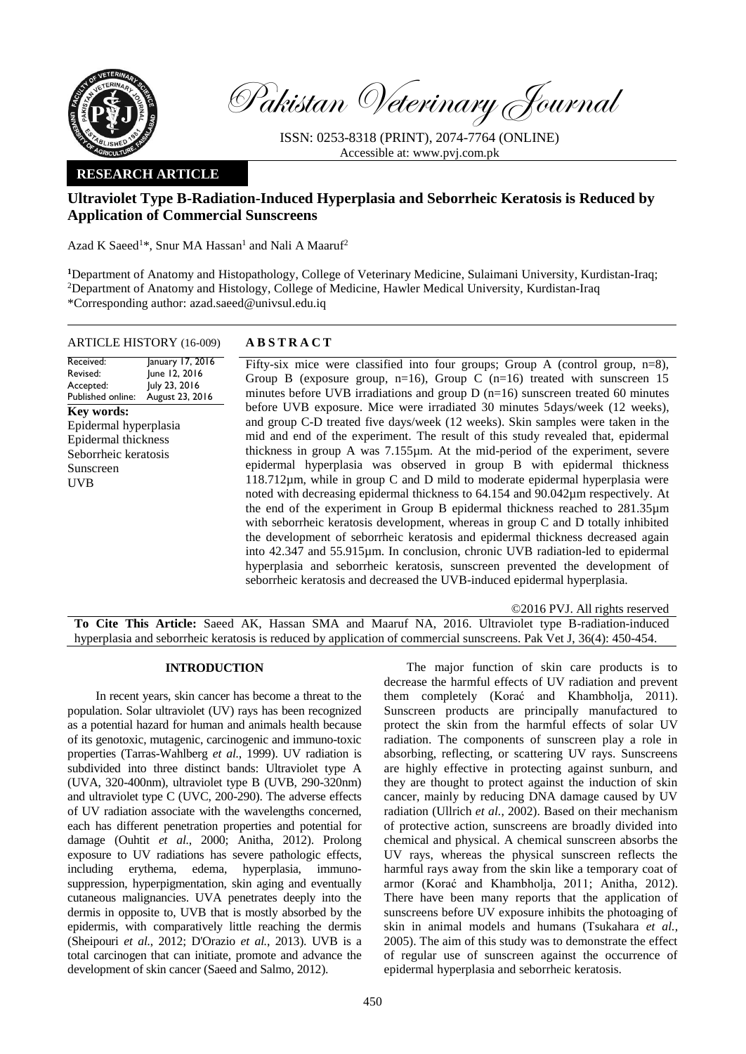

Pakistan Veterinary Journal

ISSN: 0253-8318 (PRINT), 2074-7764 (ONLINE) Accessible at: [www.pvj.com.pk](http://www.pvj.com.pk/)

# **RESEARCH ARTICLE**

# **Ultraviolet Type B-Radiation-Induced Hyperplasia and Seborrheic Keratosis is Reduced by Application of Commercial Sunscreens**

Azad K Saeed<sup>1\*</sup>, Snur MA Hassan<sup>1</sup> and Nali A Maaruf<sup>2</sup>

**<sup>1</sup>**Department of Anatomy and Histopathology, College of Veterinary Medicine, Sulaimani University, Kurdistan-Iraq; <sup>2</sup>Department of Anatomy and Histology, College of Medicine, Hawler Medical University, Kurdistan-Iraq \*Corresponding author: azad.saeed@univsul.edu.iq

# ARTICLE HISTORY (16-009) **A B S T R A C T**

Received: Revised: Accepted: Published online: January 17, 2016 June 12, 2016 July 23, 2016 August 23, 2016 **Key words:**  Epidermal hyperplasia Epidermal thickness Seborrheic keratosis Sunscreen UVB

Fifty-six mice were classified into four groups; Group A (control group,  $n=8$ ), Group B (exposure group,  $n=16$ ), Group C ( $n=16$ ) treated with sunscreen 15 minutes before UVB irradiations and group  $D(n=16)$  sunscreen treated 60 minutes before UVB exposure. Mice were irradiated 30 minutes 5days/week (12 weeks), and group C-D treated five days/week (12 weeks). Skin samples were taken in the mid and end of the experiment. The result of this study revealed that, epidermal thickness in group A was 7.155µm. At the mid-period of the experiment, severe epidermal hyperplasia was observed in group B with epidermal thickness 118.712µm, while in group C and D mild to moderate epidermal hyperplasia were noted with decreasing epidermal thickness to 64.154 and 90.042µm respectively. At the end of the experiment in Group B epidermal thickness reached to 281.35µm with seborrheic keratosis development, whereas in group C and D totally inhibited the development of seborrheic keratosis and epidermal thickness decreased again into 42.347 and 55.915µm. In conclusion, chronic UVB radiation-led to epidermal hyperplasia and seborrheic keratosis, sunscreen prevented the development of seborrheic keratosis and decreased the UVB-induced epidermal hyperplasia.

©2016 PVJ. All rights reserved **To Cite This Article:** Saeed AK, Hassan SMA and Maaruf NA, 2016. Ultraviolet type B-radiation-induced hyperplasia and seborrheic keratosis is reduced by application of commercial sunscreens. Pak Vet J, 36(4): 450-454.

### **INTRODUCTION**

In recent years, skin cancer has become a threat to the population. Solar ultraviolet (UV) rays has been recognized as a potential hazard for human and animals health because of its genotoxic, mutagenic, carcinogenic and immuno-toxic properties [\(Tarras-Wahlberg](#page-4-0) *et al.*, 1999). UV radiation is subdivided into three distinct bands: Ultraviolet type A (UVA, 320-400nm), ultraviolet type B (UVB, 290-320nm) and ultraviolet type C (UVC, 200-290). The adverse effects of UV radiation associate with the wavelengths concerned, each has different penetration properties and potential for damage (Ouhtit *et al.*[, 2000;](#page-4-1) [Anitha, 2012\)](#page-4-2). Prolong exposure to UV radiations has severe pathologic effects, including erythema, edema, hyperplasia, immunosuppression, hyperpigmentation, skin aging and eventually cutaneous malignancies. UVA penetrates deeply into the dermis in opposite to, UVB that is mostly absorbed by the epidermis, with comparatively little reaching the dermis [\(Sheipouri](#page-4-3) *et al.*, 2012; [D'Orazio](#page-4-4) *et al.*, 2013). UVB is a total carcinogen that can initiate, promote and advance the development of skin cancer [\(Saeed and Salmo, 2012\)](#page-4-5).

The major function of skin care products is to decrease the harmful effects of UV radiation and prevent them completely [\(Korać and Khambholja, 2011\)](#page-4-6). Sunscreen products are principally manufactured to protect the skin from the harmful effects of solar UV radiation. The components of sunscreen play a role in absorbing, reflecting, or scattering UV rays. Sunscreens are highly effective in protecting against sunburn, and they are thought to protect against the induction of skin cancer, mainly by reducing DNA damage caused by UV radiation [\(Ullrich](#page-4-7) *et al.*, 2002). Based on their mechanism of protective action, sunscreens are broadly divided into chemical and physical. A chemical sunscreen absorbs the UV rays, whereas the physical sunscreen reflects the harmful rays away from the skin like a temporary coat of armor [\(Korać and Khambholja, 2011;](#page-4-6) [Anitha, 2012\)](#page-4-2). There have been many reports that the application of sunscreens before UV exposure inhibits the photoaging of skin in animal models and humans [\(Tsukahara](#page-4-8) *et al.*, [2005\)](#page-4-8). The aim of this study was to demonstrate the effect of regular use of sunscreen against the occurrence of epidermal hyperplasia and seborrheic keratosis.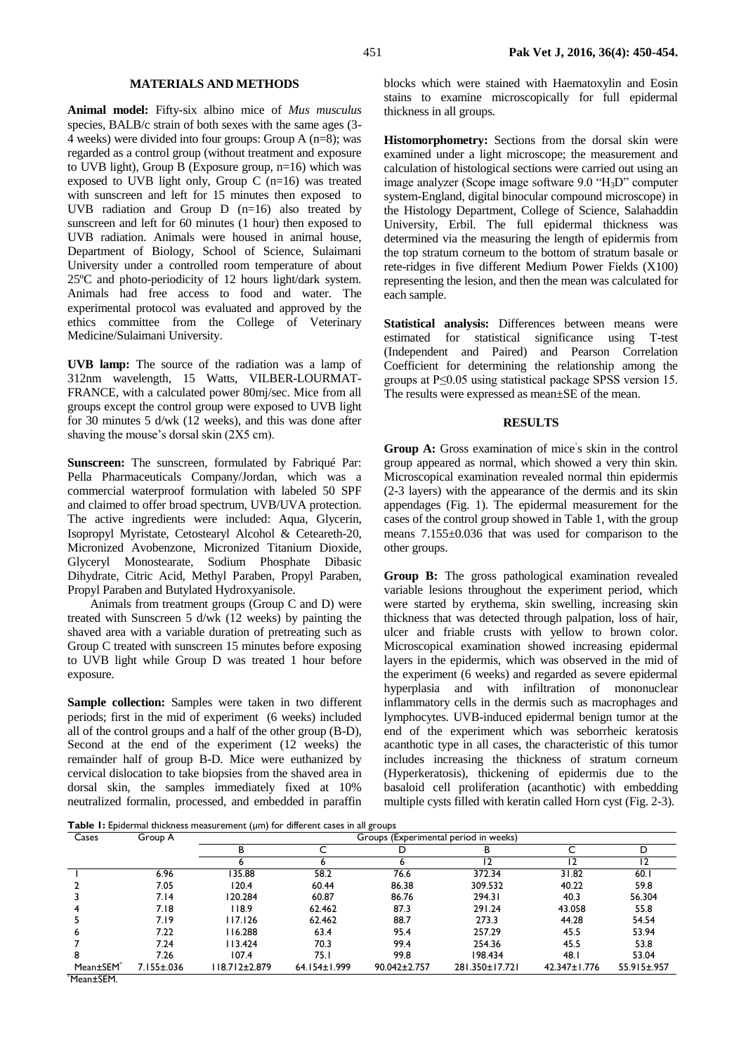#### **MATERIALS AND METHODS**

**Animal model:** Fifty-six albino mice of *Mus musculus* species, BALB/c strain of both sexes with the same ages (3- 4 weeks) were divided into four groups: Group A (n=8); was regarded as a control group (without treatment and exposure to UVB light), Group B (Exposure group, n=16) which was exposed to UVB light only, Group C  $(n=16)$  was treated with sunscreen and left for 15 minutes then exposed to UVB radiation and Group D (n=16) also treated by sunscreen and left for 60 minutes (1 hour) then exposed to UVB radiation. Animals were housed in animal house, Department of Biology, School of Science, Sulaimani University under a controlled room temperature of about 25ºC and photo-periodicity of 12 hours light/dark system. Animals had free access to food and water. The experimental protocol was evaluated and approved by the ethics committee from the College of Veterinary Medicine/Sulaimani University.

**UVB lamp:** The source of the radiation was a lamp of 312nm wavelength, 15 Watts, VILBER-LOURMAT-FRANCE, with a calculated power 80mj/sec. Mice from all groups except the control group were exposed to UVB light for 30 minutes 5 d/wk (12 weeks), and this was done after shaving the mouse's dorsal skin (2X5 cm).

Sunscreen: The sunscreen, formulated by Fabriqué Par: Pella Pharmaceuticals Company/Jordan, which was a commercial waterproof formulation with labeled 50 SPF and claimed to offer broad spectrum, UVB/UVA protection. The active ingredients were included: Aqua, Glycerin, Isopropyl Myristate, Cetostearyl Alcohol & Ceteareth-20, Micronized Avobenzone, Micronized Titanium Dioxide, Glyceryl Monostearate, Sodium Phosphate Dibasic Dihydrate, Citric Acid, Methyl Paraben, Propyl Paraben, Propyl Paraben and Butylated Hydroxyanisole.

Animals from treatment groups (Group C and D) were treated with Sunscreen 5 d/wk (12 weeks) by painting the shaved area with a variable duration of pretreating such as Group C treated with sunscreen 15 minutes before exposing to UVB light while Group D was treated 1 hour before exposure.

**Sample collection:** Samples were taken in two different periods; first in the mid of experiment (6 weeks) included all of the control groups and a half of the other group (B-D), Second at the end of the experiment (12 weeks) the remainder half of group B-D. Mice were euthanized by cervical dislocation to take biopsies from the shaved area in dorsal skin, the samples immediately fixed at 10% neutralized formalin, processed, and embedded in paraffin

blocks which were stained with Haematoxylin and Eosin stains to examine microscopically for full epidermal thickness in all groups.

**Histomorphometry:** Sections from the dorsal skin were examined under a light microscope; the measurement and calculation of histological sections were carried out using an image analyzer (Scope image software 9.0 "H3D" computer system-England, digital binocular compound microscope) in the Histology Department, College of Science, Salahaddin University, Erbil. The full epidermal thickness was determined via the measuring the length of epidermis from the top stratum corneum to the bottom of stratum basale or rete-ridges in five different Medium Power Fields (X100) representing the lesion, and then the mean was calculated for each sample.

**Statistical analysis:** Differences between means were estimated for statistical significance using T-test (Independent and Paired) and Pearson Correlation Coefficient for determining the relationship among the groups at P≤0.05 using statistical package SPSS version 15. The results were expressed as mean±SE of the mean.

### **RESULTS**

Group A: Gross examination of mice's skin in the control group appeared as normal, which showed a very thin skin. Microscopical examination revealed normal thin epidermis (2-3 layers) with the appearance of the dermis and its skin appendages (Fig. 1). The epidermal measurement for the cases of the control group showed in Table 1, with the group means 7.155±0.036 that was used for comparison to the other groups.

**Group B:** The gross pathological examination revealed variable lesions throughout the experiment period, which were started by erythema, skin swelling, increasing skin thickness that was detected through palpation, loss of hair, ulcer and friable crusts with yellow to brown color. Microscopical examination showed increasing epidermal layers in the epidermis, which was observed in the mid of the experiment (6 weeks) and regarded as severe epidermal hyperplasia and with infiltration of mononuclear inflammatory cells in the dermis such as macrophages and lymphocytes. UVB-induced epidermal benign tumor at the end of the experiment which was seborrheic keratosis acanthotic type in all cases, the characteristic of this tumor includes increasing the thickness of stratum corneum (Hyperkeratosis), thickening of epidermis due to the basaloid cell proliferation (acanthotic) with embedding multiple cysts filled with keratin called Horn cyst (Fig. 2-3).

**Table 1:** Epidermal thickness measurement (µm) for different cases in all groups

|                       |                  | $\mathbf{v}$                          |              | ັ            |                |              |             |
|-----------------------|------------------|---------------------------------------|--------------|--------------|----------------|--------------|-------------|
| Cases                 | Group A          | Groups (Experimental period in weeks) |              |              |                |              |             |
|                       |                  | B                                     |              |              | в              |              | D           |
|                       |                  |                                       |              |              | 12             |              |             |
|                       | 6.96             | 135.88                                | 58.2         | 76.6         | 372.34         | 31.82        | 60.1        |
|                       | 7.05             | 120.4                                 | 60.44        | 86.38        | 309.532        | 40.22        | 59.8        |
|                       | 7.14             | 120.284                               | 60.87        | 86.76        | 294.31         | 40.3         | 56.304      |
|                       | 7.18             | 118.9                                 | 62.462       | 87.3         | 291.24         | 43.058       | 55.8        |
|                       | 7.19             | 117.126                               | 62.462       | 88.7         | 273.3          | 44.28        | 54.54       |
| 6                     | 7.22             | 16.288                                | 63.4         | 95.4         | 257.29         | 45.5         | 53.94       |
|                       | 7.24             | 113.424                               | 70.3         | 99.4         | 254.36         | 45.5         | 53.8        |
| 8                     | 7.26             | 107.4                                 | 75.I         | 99.8         | 198.434        | 48.I         | 53.04       |
| Mean±SEM <sup>®</sup> | $7.155 \pm .036$ | 18.712±2.879                          | 64.154±1.999 | 90.042±2.757 | 281.350±17.721 | 42.347±1.776 | 55.915±.957 |
| $M_{\rm max}$ + CEM   |                  |                                       |              |              |                |              |             |

\*Mean±SEM.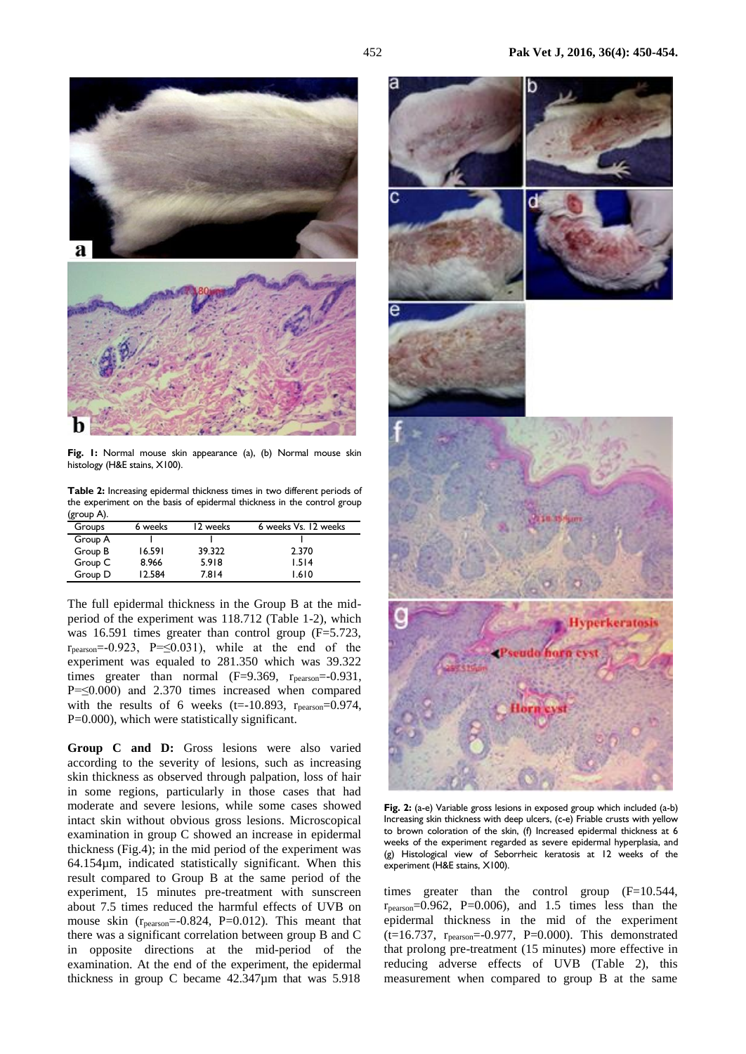

**Fig. 1:** Normal mouse skin appearance (a), (b) Normal mouse skin histology (H&E stains, X100).

**Table 2:** Increasing epidermal thickness times in two different periods of the experiment on the basis of epidermal thickness in the control group (group A).

| Groups  | 6 weeks | 12 weeks | 6 weeks Vs. 12 weeks |
|---------|---------|----------|----------------------|
| Group A |         |          |                      |
| Group B | 16.591  | 39.322   | 2.370                |
| Group C | 8.966   | 5.918    | 1.514                |
| Group D | 12.584  | 7.814    | 1.610                |

The full epidermal thickness in the Group B at the midperiod of the experiment was 118.712 (Table 1-2), which was 16.591 times greater than control group (F=5.723,  $r_{pearson} = -0.923$ , P= $\leq$ 0.031), while at the end of the experiment was equaled to 281.350 which was 39.322 times greater than normal  $(F=9.369, r_{pearson}=-0.931,$ P=≤0.000) and 2.370 times increased when compared with the results of 6 weeks (t= $-10.893$ ,  $r_{\text{pearson}} = 0.974$ , P=0.000), which were statistically significant.

**Group C and D:** Gross lesions were also varied according to the severity of lesions, such as increasing skin thickness as observed through palpation, loss of hair in some regions, particularly in those cases that had moderate and severe lesions, while some cases showed intact skin without obvious gross lesions. Microscopical examination in group C showed an increase in epidermal thickness (Fig.4); in the mid period of the experiment was 64.154µm, indicated statistically significant. When this result compared to Group B at the same period of the experiment, 15 minutes pre-treatment with sunscreen about 7.5 times reduced the harmful effects of UVB on mouse skin  $(r_{\text{pearson}} = -0.824, P = 0.012)$ . This meant that there was a significant correlation between group B and C in opposite directions at the mid-period of the examination. At the end of the experiment, the epidermal thickness in group C became 42.347µm that was 5.918



**Fig. 2:** (a-e) Variable gross lesions in exposed group which included (a-b) Increasing skin thickness with deep ulcers, (c-e) Friable crusts with yellow to brown coloration of the skin, (f) Increased epidermal thickness at 6 weeks of the experiment regarded as severe epidermal hyperplasia, and (g) Histological view of Seborrheic keratosis at 12 weeks of the experiment (H&E stains, X100).

times greater than the control group (F=10.544,  $r_{\text{pearson}} = 0.962$ , P=0.006), and 1.5 times less than the epidermal thickness in the mid of the experiment (t=16.737, rpearson=-0.977, P=0.000). This demonstrated that prolong pre-treatment (15 minutes) more effective in reducing adverse effects of UVB (Table 2), this measurement when compared to group B at the same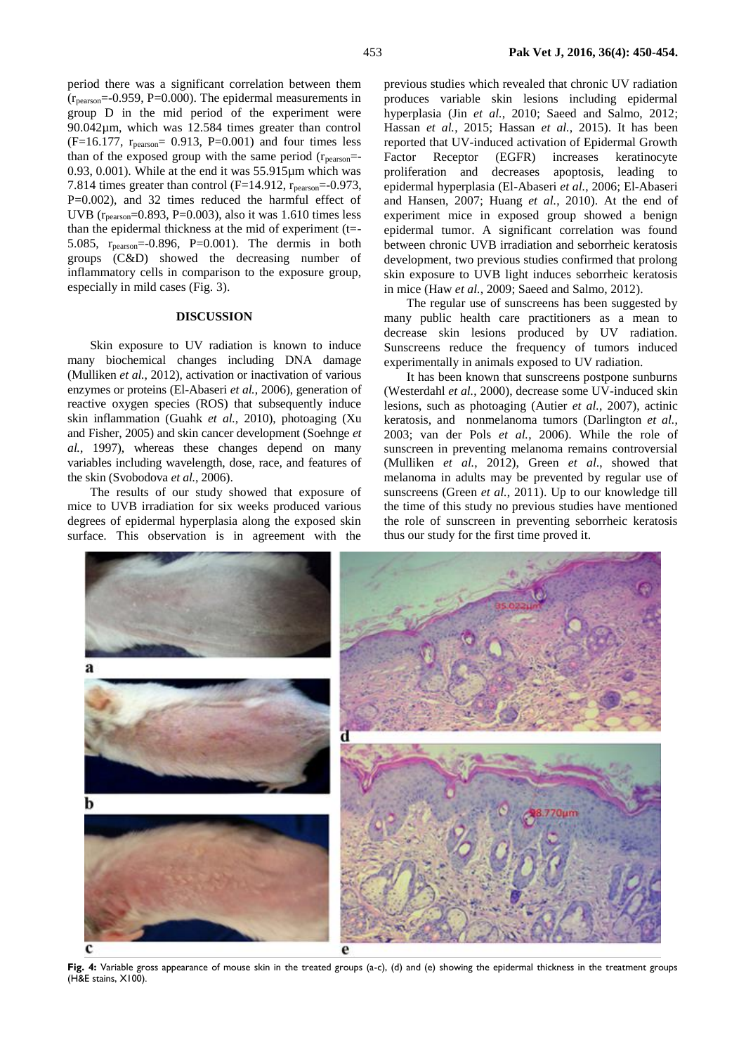period there was a significant correlation between them  $(r_{\text{pearson}} = -0.959, P = 0.000)$ . The epidermal measurements in group D in the mid period of the experiment were 90.042µm, which was 12.584 times greater than control  $(F=16.177, r_{pearson}= 0.913, P=0.001)$  and four times less than of the exposed group with the same period  $(r_{\text{pearson}}=$ 0.93, 0.001). While at the end it was 55.915µm which was 7.814 times greater than control ( $F=14.912$ ,  $r_{\text{pearson}}=-0.973$ , P=0.002), and 32 times reduced the harmful effect of UVB (rpearson=0.893, P=0.003), also it was 1.610 times less than the epidermal thickness at the mid of experiment (t=- 5.085, rpearson=-0.896, P=0.001). The dermis in both groups (C&D) showed the decreasing number of inflammatory cells in comparison to the exposure group, especially in mild cases (Fig. 3).

## **DISCUSSION**

Skin exposure to UV radiation is known to induce many biochemical changes including DNA damage [\(Mulliken](#page-4-9) *et al.*, 2012), activation or inactivation of various enzymes or proteins [\(El-Abaseri](#page-4-10) *et al.*, 2006), generation of reactive oxygen species (ROS) that subsequently induce skin inflammation (Guahk *et al.*[, 2010\)](#page-4-11), photoaging [\(Xu](#page-4-12)  [and Fisher, 2005\)](#page-4-12) and skin cancer development [\(Soehnge](#page-4-13) *et al.*[, 1997\)](#page-4-13), whereas these changes depend on many variables including wavelength, dose, race, and features of the skin [\(Svobodova](#page-4-14) *et al.*, 2006).

The results of our study showed that exposure of mice to UVB irradiation for six weeks produced various degrees of epidermal hyperplasia along the exposed skin surface. This observation is in agreement with the

previous studies which revealed that chronic UV radiation produces variable skin lesions including epidermal hyperplasia (Jin *et al.*[, 2010;](#page-4-15) [Saeed and Salmo, 2012;](#page-4-5) Hassan *et al.*[, 2015;](#page-4-16) [Hassan](#page-4-17) *et al.*, 2015). It has been reported that UV-induced activation of Epidermal Growth Factor Receptor (EGFR) increases keratinocyte proliferation and decreases apoptosis, leading to epidermal hyperplasia [\(El-Abaseri](#page-4-10) *et al.*, 2006; [El-Abaseri](#page-4-18)  [and Hansen, 2007;](#page-4-18) Huang *et al.*[, 2010\)](#page-4-19). At the end of experiment mice in exposed group showed a benign epidermal tumor. A significant correlation was found between chronic UVB irradiation and seborrheic keratosis development, two previous studies confirmed that prolong skin exposure to UVB light induces seborrheic keratosis in mice (Haw *et al.*[, 2009;](#page-4-20) [Saeed and Salmo, 2012\)](#page-4-5).

The regular use of sunscreens has been suggested by many public health care practitioners as a mean to decrease skin lesions produced by UV radiation. Sunscreens reduce the frequency of tumors induced experimentally in animals exposed to UV radiation.

It has been known that sunscreens postpone sunburns [\(Westerdahl](#page-4-21) *et al.*, 2000), decrease some UV-induced skin lesions, such as photoaging (Autier *et al.*[, 2007\)](#page-4-22), actinic keratosis, and nonmelanoma tumors [\(Darlington](#page-4-23) *et al.*, [2003;](#page-4-23) [van der Pols](#page-4-24) *et al.*, 2006). While the role of sunscreen in preventing melanoma remains controversial [\(Mulliken](#page-4-9) *et al.*, 2012), Green *et al*., showed that melanoma in adults may be prevented by regular use of sunscreens (Green *et al.*[, 2011\)](#page-4-25). Up to our knowledge till the time of this study no previous studies have mentioned the role of sunscreen in preventing seborrheic keratosis thus our study for the first time proved it.



**Fig. 4:** Variable gross appearance of mouse skin in the treated groups (a-c), (d) and (e) showing the epidermal thickness in the treatment groups (H&E stains, X100).